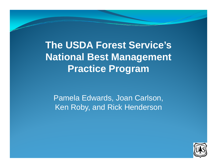**The USDA Forest Service's National Best Management Practice Pro gram**

Pamela Edwards, Joan Carlson, Ken Roby, and Rick Henderson

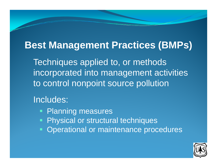# **Best Management Practices (BMPs)**

Techniques applied to, or methods incorporated into management activities to control nonpoint source pollution

#### Includes:

- **Planning measures**
- $\blacksquare$ Physical or structural techniques
- Operational or maintenance procedures

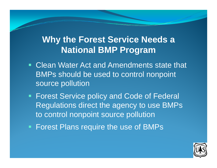# **Why the Forest Service Needs a National BMP Program**

- Ŧ Clean Water Act and Amendments state that BMPs should be used to control nonpoint source pollution
- Forest Service policy and Code of Federal Regulations direct the agency to use BMPs to control nonpoint source pollution
- **Forest Plans require the use of BMPs**

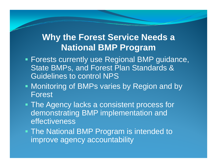### **Why the Forest Service Needs a National BMP Pro gram**

- Forests currently use Regional BMP guidance, State BMPs, and Forest Plan Standards & Guidelines to control NPS
- **Monitoring of BMPs varies by Region and by** Forest
- **The Agency lacks a consistent process for** demonstrating BMP implementation and effectiveness
- The National BMP Program is intended to improve agency accountability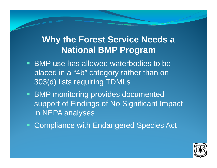# **Why the Forest Service Needs a National BMP Program**

- **BMP** use has allowed waterbodies to be placed in <sup>a</sup> "4b use has allowed waterbodies to be<br>d in a "4b" category rather than on 303(d) lists requiring TDMLs
- **BMP** monitoring provides documented support of Findings of No Significant Impact in NEPA anal yses
- **Compliance with Endangered Species Act**

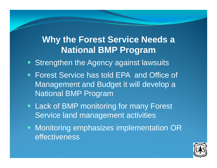# **Why the Forest Service Needs a National BMP Program**

- **Strengthen the Agency against lawsuits**
- **Forest Service has told EPA and Office of** Management and Budget it will develop a National BMP Program
- Lack of BMP monitoring for many Forest Service land management activities
- **Monitoring emphasizes implementation OR** effectiveness

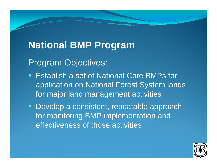# **National BMP Program**

Program Objectives:

- T. **E** Establish a set of National Core BMPs for application on National Forest System lands for major land management activities
- **Develop a consistent, repeatable approach** for monitoring BMP implementation and effectiveness of those activities

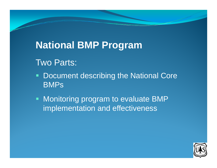# **National BMP Program**

#### Two Parts:

- $\blacksquare$ • Document describing the National Core BMPs
- **Monitoring program to evaluate BMP** implementation and effectiveness

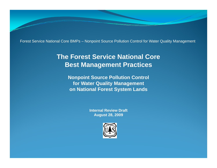Forest Service National Core BMPs – Nonpoint Source Pollution Control for Water Quality Management

#### **The Forest Service National Core Best Management Practices**

**Nonpoint Source Pollution Control for Water Quality Management on National Forest System Lands**

> **Internal Review DraftAugust 28 2009 28,**

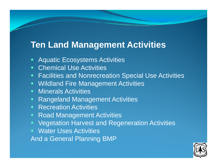### **Ten Land Management Activities**

- T Aquatic Ecosystems Activities
- **Chemical Use Activities**
- Facilities and Nonrecreation Special Use Activities
- **Wildland Fire Management Activities**
- **Minerals Activities**
- **Rangeland Management Activities**
- **Recreation Activities**
- Road Management Activities
- **Vegetation Harvest and Regeneration Activities**
- Water Uses Activities

And a General Planning BMP

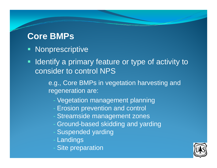# **Core BMPs**

- Nonprescriptive
- **If Identify a primary feature or type of activity to** consider to control NPS

e.g., Core BMPs in vegetation harvesting and regeneration are:

- Vegetation management planning
- Erosion prevention and control
- Streamside management zones
- Ground-based skidding and yarding
- Suspended yarding
- Landings
- Site preparation

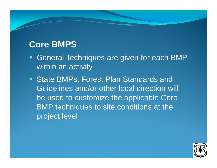# **Core BMPS**

- General Techniques are given for each BMP within an activity
- State BMPs, Forest Plan Standards and Guidelines and/or other local direction will be used to customize the applicable Core BMP techniques to site conditions at the project level

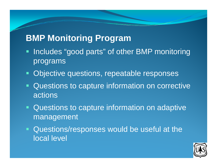- **Includes "good parts" of other BMP monitoring** programs
- Objective questions, repeatable responses
- **Questions to capture information on corrective** actions
- **Questions to capture information on adaptive** management
- **Questions/responses would be useful at the** local level

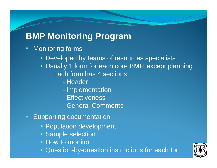- **Monitoring forms** 
	- Developed by teams of resources specialists
	- Usually 1 form for each core BMP, except planning Each form has 4 sections:
		- Header
		- Implementation
		- Effectiveness
		- General Comments
- Supporting documentation
	- Population development
	- Sam ple selection
	- How to monitor
	- Question-by-question instructions for each form

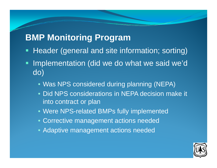- **Header (general and site information; sorting)**
- **STATE**  Implementation (did we do what we said we'd do)
	- Was NPS considered during planning (NEPA)
	- Did NPS considerations in NEPA decision make it into contract or plan
	- Were NPS-related BMPs fully implemented
	- Corrective management actions needed
	- Adaptive management actions needed

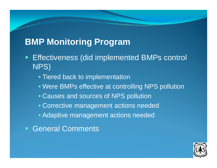- **Effectiveness (did implemented BMPs control** NPS)
	- Tiered back to implementation
	- Were BMPs effective at controlling NPS pollution
	- Causes and sources of NPS pollution
	- Corrective management actions needed
	- Adaptive management actions needed
- General Comments

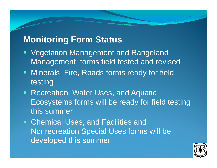### **Monitoring Form Status**

- Vegetation Management and Rangeland Management forms field tested and revised
- Minerals, Fire, Roads forms ready for field testing
- Recreation, Water Uses, and Aquatic Ecosystems forms will be ready for field testing this summer
- Chemical Uses, and Facilities and Nonrecreation Special Uses forms will be developed this summe r